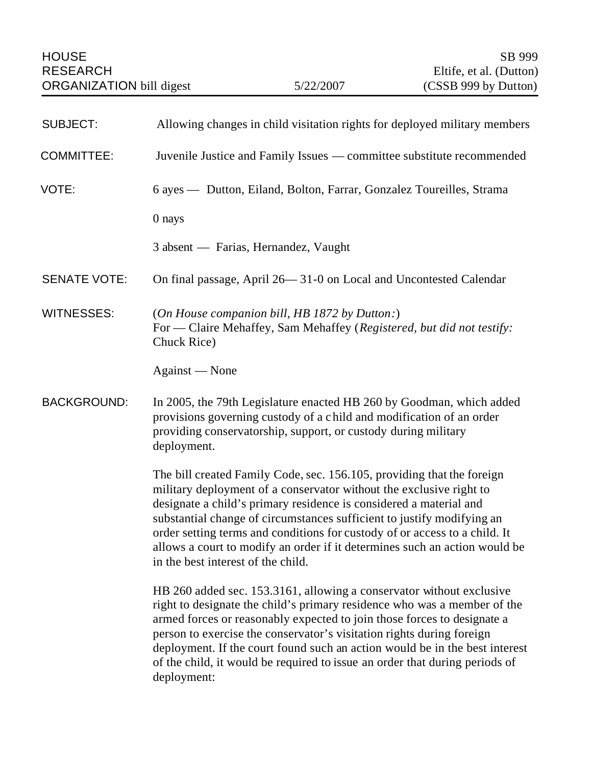| <b>SUBJECT:</b>     | Allowing changes in child visitation rights for deployed military members                                                                                                                                                                                                                                                                                                                                                                                                                       |
|---------------------|-------------------------------------------------------------------------------------------------------------------------------------------------------------------------------------------------------------------------------------------------------------------------------------------------------------------------------------------------------------------------------------------------------------------------------------------------------------------------------------------------|
| <b>COMMITTEE:</b>   | Juvenile Justice and Family Issues — committee substitute recommended                                                                                                                                                                                                                                                                                                                                                                                                                           |
| VOTE:               | 6 ayes — Dutton, Eiland, Bolton, Farrar, Gonzalez Toureilles, Strama                                                                                                                                                                                                                                                                                                                                                                                                                            |
|                     | $0$ nays                                                                                                                                                                                                                                                                                                                                                                                                                                                                                        |
|                     | 3 absent — Farias, Hernandez, Vaught                                                                                                                                                                                                                                                                                                                                                                                                                                                            |
| <b>SENATE VOTE:</b> | On final passage, April 26—31-0 on Local and Uncontested Calendar                                                                                                                                                                                                                                                                                                                                                                                                                               |
| <b>WITNESSES:</b>   | (On House companion bill, HB 1872 by Dutton:)<br>For — Claire Mehaffey, Sam Mehaffey (Registered, but did not testify:<br>Chuck Rice)                                                                                                                                                                                                                                                                                                                                                           |
|                     | Against - None                                                                                                                                                                                                                                                                                                                                                                                                                                                                                  |
| <b>BACKGROUND:</b>  | In 2005, the 79th Legislature enacted HB 260 by Goodman, which added<br>provisions governing custody of a child and modification of an order<br>providing conservatorship, support, or custody during military<br>deployment.                                                                                                                                                                                                                                                                   |
|                     | The bill created Family Code, sec. 156.105, providing that the foreign<br>military deployment of a conservator without the exclusive right to<br>designate a child's primary residence is considered a material and<br>substantial change of circumstances sufficient to justify modifying an<br>order setting terms and conditions for custody of or access to a child. It<br>allows a court to modify an order if it determines such an action would be<br>in the best interest of the child. |
|                     | HB 260 added sec. 153.3161, allowing a conservator without exclusive<br>right to designate the child's primary residence who was a member of the<br>armed forces or reasonably expected to join those forces to designate a<br>person to exercise the conservator's visitation rights during foreign<br>deployment. If the court found such an action would be in the best interest<br>of the child, it would be required to issue an order that during periods of<br>deployment:               |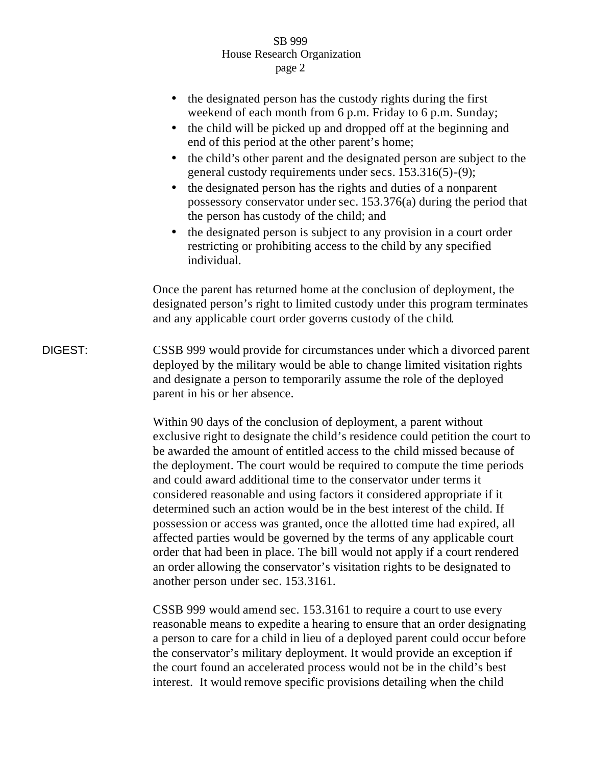## SB 999 House Research Organization page 2

|         | the designated person has the custody rights during the first<br>weekend of each month from 6 p.m. Friday to 6 p.m. Sunday;<br>the child will be picked up and dropped off at the beginning and<br>end of this period at the other parent's home;<br>the child's other parent and the designated person are subject to the<br>general custody requirements under secs. 153.316(5)-(9);<br>the designated person has the rights and duties of a nonparent<br>possessory conservator under sec. 153.376(a) during the period that<br>the person has custody of the child; and<br>the designated person is subject to any provision in a court order<br>restricting or prohibiting access to the child by any specified<br>individual.                                                                                                                     |
|---------|---------------------------------------------------------------------------------------------------------------------------------------------------------------------------------------------------------------------------------------------------------------------------------------------------------------------------------------------------------------------------------------------------------------------------------------------------------------------------------------------------------------------------------------------------------------------------------------------------------------------------------------------------------------------------------------------------------------------------------------------------------------------------------------------------------------------------------------------------------|
|         | Once the parent has returned home at the conclusion of deployment, the<br>designated person's right to limited custody under this program terminates<br>and any applicable court order governs custody of the child.                                                                                                                                                                                                                                                                                                                                                                                                                                                                                                                                                                                                                                    |
| DIGEST: | CSSB 999 would provide for circumstances under which a divorced parent<br>deployed by the military would be able to change limited visitation rights<br>and designate a person to temporarily assume the role of the deployed<br>parent in his or her absence.                                                                                                                                                                                                                                                                                                                                                                                                                                                                                                                                                                                          |
|         | Within 90 days of the conclusion of deployment, a parent without<br>exclusive right to designate the child's residence could petition the court to<br>be awarded the amount of entitled access to the child missed because of<br>the deployment. The court would be required to compute the time periods<br>and could award additional time to the conservator under terms it<br>considered reasonable and using factors it considered appropriate if it<br>determined such an action would be in the best interest of the child. If<br>possession or access was granted, once the allotted time had expired, all<br>affected parties would be governed by the terms of any applicable court<br>order that had been in place. The bill would not apply if a court rendered<br>an order allowing the conservator's visitation rights to be designated to |

another person under sec. 153.3161.

CSSB 999 would amend sec. 153.3161 to require a court to use every reasonable means to expedite a hearing to ensure that an order designating a person to care for a child in lieu of a deployed parent could occur before the conservator's military deployment. It would provide an exception if the court found an accelerated process would not be in the child's best interest. It would remove specific provisions detailing when the child